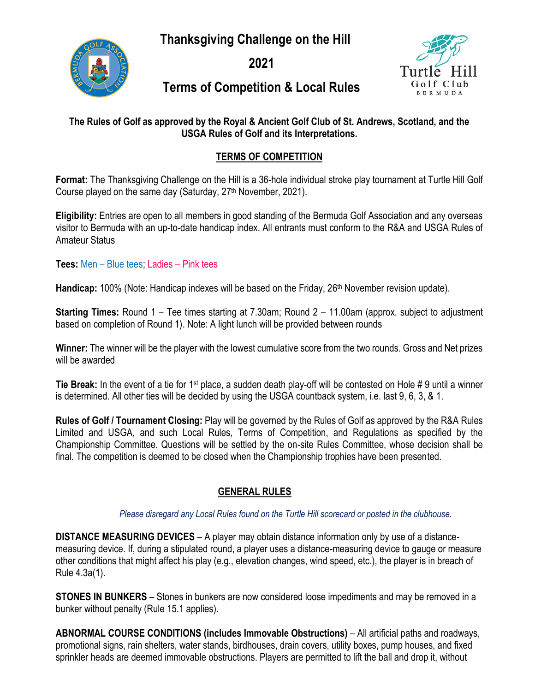**Thanksgiving Challenge on the Hill**



**2021**



# **Terms of Competition & Local Rules**

### **The Rules of Golf as approved by the Royal & Ancient Golf Club of St. Andrews, Scotland, and the USGA Rules of Golf and its Interpretations.**

### **TERMS OF COMPETITION**

**Format:** The Thanksgiving Challenge on the Hill is a 36-hole individual stroke play tournament at Turtle Hill Golf Course played on the same day (Saturday, 27<sup>th</sup> November, 2021).

**Eligibility:** Entries are open to all members in good standing of the Bermuda Golf Association and any overseas visitor to Bermuda with an up-to-date handicap index. All entrants must conform to the R&A and USGA Rules of Amateur Status

**Tees:** Men – Blue tees; Ladies – Pink tees

Handicap: 100% (Note: Handicap indexes will be based on the Friday, 26<sup>th</sup> November revision update).

**Starting Times:** Round 1 – Tee times starting at 7.30am; Round 2 – 11.00am (approx. subject to adjustment based on completion of Round 1). Note: A light lunch will be provided between rounds

**Winner:** The winner will be the player with the lowest cumulative score from the two rounds. Gross and Net prizes will be awarded

**Tie Break:** In the event of a tie for 1st place, a sudden death play-off will be contested on Hole # 9 until a winner is determined. All other ties will be decided by using the USGA countback system, i.e. last 9, 6, 3, & 1.

**Rules of Golf / Tournament Closing:** Play will be governed by the Rules of Golf as approved by the R&A Rules Limited and USGA, and such Local Rules, Terms of Competition, and Regulations as specified by the Championship Committee. Questions will be settled by the on-site Rules Committee, whose decision shall be final. The competition is deemed to be closed when the Championship trophies have been presented.

# **GENERAL RULES**

 *Please disregard any Local Rules found on the Turtle Hill scorecard or posted in the clubhouse.* 

**DISTANCE MEASURING DEVICES** – A player may obtain distance information only by use of a distancemeasuring device. If, during a stipulated round, a player uses a distance-measuring device to gauge or measure other conditions that might affect his play (e.g., elevation changes, wind speed, etc.), the player is in breach of Rule 4.3a(1).

**STONES IN BUNKERS** – Stones in bunkers are now considered loose impediments and may be removed in a bunker without penalty (Rule 15.1 applies).

**ABNORMAL COURSE CONDITIONS (includes Immovable Obstructions)** – All artificial paths and roadways, promotional signs, rain shelters, water stands, birdhouses, drain covers, utility boxes, pump houses, and fixed sprinkler heads are deemed immovable obstructions. Players are permitted to lift the ball and drop it, without